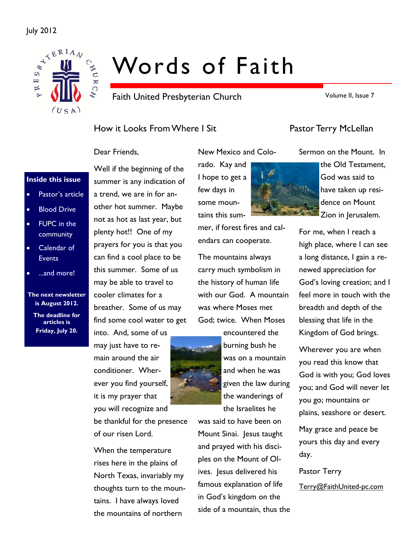## July 2012



# Words of Faith

Faith United Presbyterian Church

Volume II, Issue 7

## How it Looks From Where I Sit Franch Pastor Terry McLellan

Dear Friends,

## **Inside this issue**

- Pastor's article
- **Blood Drive**
- FUPC in the community
- Calendar of **Events**
- ...and more!

**The next newsletter is August 2012.** 

**The deadline for articles is Friday, July 20.** 

Well if the beginning of the summer is any indication of a trend, we are in for another hot summer. Maybe not as hot as last year, but plenty hot!! One of my prayers for you is that you can find a cool place to be this summer. Some of us may be able to travel to cooler climates for a breather. Some of us may find some cool water to get

into. And, some of us may just have to remain around the air conditioner. Wherever you find yourself, it is my prayer that you will recognize and

be thankful for the presence of our risen Lord.

When the temperature rises here in the plains of North Texas, invariably my thoughts turn to the mountains. I have always loved the mountains of northern

rado. Kay and I hope to get a few days in some mountains this sum-

endars can cooperate.

New Mexico and Colo-

The mountains always carry much symbolism in the history of human life with our God. A mountain was where Moses met God; twice. When Moses

encountered the burning bush he was on a mountain and when he was given the law during the wanderings of the Israelites he

was said to have been on Mount Sinai. Jesus taught and prayed with his disciples on the Mount of Olives. Jesus delivered his famous explanation of life in God's kingdom on the side of a mountain, thus the

Sermon on the Mount. In the Old Testament, God was said to have taken up residence on Mount Zion in Jerusalem.

For me, when I reach a high place, where I can see a long distance, I gain a renewed appreciation for God's loving creation; and I feel more in touch with the breadth and depth of the blessing that life in the Kingdom of God brings.

Wherever you are when you read this know that God is with you; God loves you; and God will never let you go; mountains or plains, seashore or desert.

May grace and peace be yours this day and every day.

Pastor Terry Terry@FaithUnited-pc.com

mer, if forest fires and cal-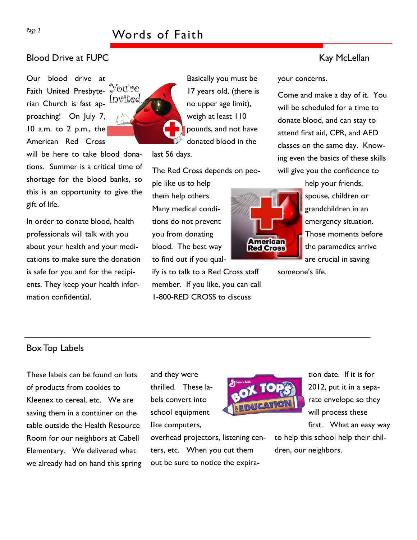## Page 2 Words of Faith

## Blood Drive at FUPC **Kay McLellan**

Our blood drive at You're Faith United Presbyte-Invited rian Church is fast approaching! On July 7, 10 a.m. to 2 p.m., the American Red Cross

will be here to take blood donations. Summer is a critical time of shortage for the blood banks, so this is an opportunity to give the gift of life.

In order to donate blood, health professionals will talk with you about your health and your medications to make sure the donation is safe for you and for the recipients. They keep your health information confidential.



Basically you must be 17 years old, (there is no upper age limit), weigh at least 110 pounds, and not have donated blood in the

last 56 days.

The Red Cross depends on peo-

ple like us to help them help others. Many medical conditions do not prevent you from donating blood. The best way to find out if you qual-

ify is to talk to a Red Cross staff member. If you like, you can call 1-800-RED CROSS to discuss

your concerns.

Come and make a day of it. You will be scheduled for a time to donate blood, and can stay to attend first aid, CPR, and AED classes on the same day. Knowing even the basics of these skills will give you the confidence to



help your friends, spouse, children or grandchildren in an emergency situation. Those moments before the paramedics arrive are crucial in saving

someone's life.

## Box Top Labels

These labels can be found on lots of products from cookies to Kleenex to cereal, etc. We are saving them in a container on the table outside the Health Resource Room for our neighbors at Cabell Elementary. We delivered what we already had on hand this spring and they were thrilled. These labels convert into school equipment like computers,

overhead projectors, listening centers, etc. When you cut them out be sure to notice the expira-



tion date. If it is for 2012, put it in a separate envelope so they will process these first. What an easy way

to help this school help their children, our neighbors.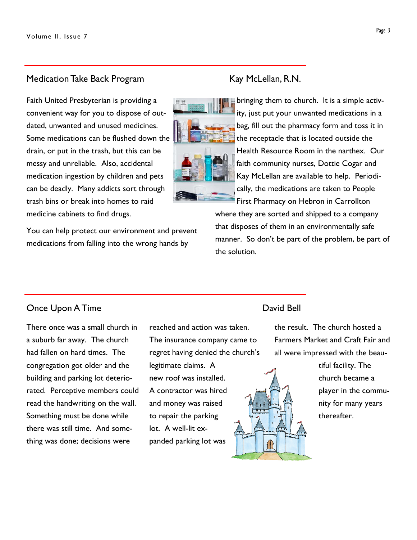## Medication Take Back Program Kay McLellan, R.N.

Faith United Presbyterian is providing a convenient way for you to dispose of outdated, unwanted and unused medicines. Some medications can be flushed down the drain, or put in the trash, but this can be messy and unreliable. Also, accidental medication ingestion by children and pets can be deadly. Many addicts sort through trash bins or break into homes to raid medicine cabinets to find drugs.

You can help protect our environment and prevent medications from falling into the wrong hands by



bringing them to church. It is a simple activity, just put your unwanted medications in a bag, fill out the pharmacy form and toss it in the receptacle that is located outside the Health Resource Room in the narthex. Our faith community nurses, Dottie Cogar and Kay McLellan are available to help. Periodically, the medications are taken to People First Pharmacy on Hebron in Carrollton

where they are sorted and shipped to a company that disposes of them in an environmentally safe manner. So don't be part of the problem, be part of the solution.

## Once Upon A Time **David Bell**

There once was a small church in a suburb far away. The church had fallen on hard times. The congregation got older and the building and parking lot deteriorated. Perceptive members could read the handwriting on the wall. Something must be done while there was still time. And something was done; decisions were

reached and action was taken. The insurance company came to regret having denied the church's

legitimate claims. A new roof was installed. A contractor was hired and money was raised to repair the parking lot. A well-lit expanded parking lot was

the result. The church hosted a Farmers Market and Craft Fair and all were impressed with the beau-



tiful facility. The church became a player in the community for many years thereafter.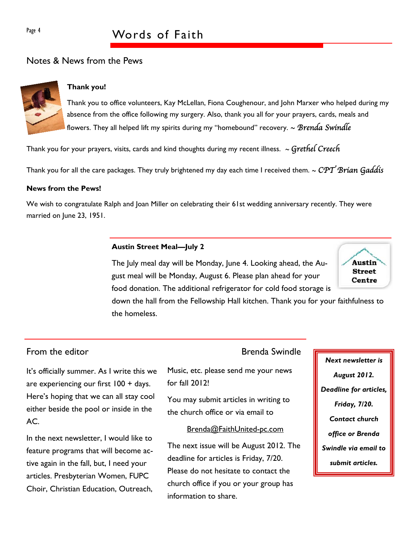## Page 4 Words of Faith

## Notes & News from the Pews



## **Thank you!**

Thank you to office volunteers, Kay McLellan, Fiona Coughenour, and John Marxer who helped during my absence from the office following my surgery. Also, thank you all for your prayers, cards, meals and flowers. They all helped lift my spirits during my "homebound" recovery.  $\sim$  Brenda Swindle

Thank you for your prayers, visits, cards and kind thoughts during my recent illness.  $\sim$  Grethel Creech

Thank you for all the care packages. They truly brightened my day each time I received them.  $\sim CPT$  Brian Gaddis

## **News from the Pews!**

We wish to congratulate Ralph and Joan Miller on celebrating their 61st wedding anniversary recently. They were married on June 23, 1951.

## **Austin Street Meal—July 2**

The July meal day will be Monday, June 4. Looking ahead, the August meal will be Monday, August 6. Please plan ahead for your food donation. The additional refrigerator for cold food storage is



down the hall from the Fellowship Hall kitchen. Thank you for your faithfulness to the homeless.

## From the editor **Brenda** Swindle

It's officially summer. As I write this we are experiencing our first 100 + days. Here's hoping that we can all stay cool either beside the pool or inside in the  $AC$ .

In the next newsletter, I would like to feature programs that will become active again in the fall, but, I need your articles. Presbyterian Women, FUPC Choir, Christian Education, Outreach,

Music, etc. please send me your news for fall 2012!

You may submit articles in writing to the church office or via email to

## Brenda@FaithUnited-pc.com

The next issue will be August 2012. The deadline for articles is Friday, 7/20. Please do not hesitate to contact the church office if you or your group has information to share.

*Next newsletter is August 2012. Deadline for articles, Friday, 7/20. Contact church office or Brenda Swindle via email to submit articles.*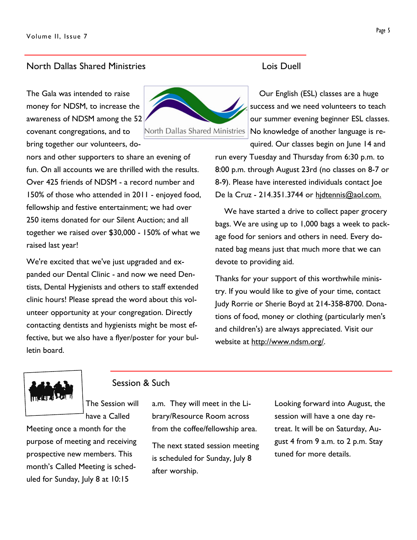## North Dallas Shared Ministries Lois Duell

The Gala was intended to raise money for NDSM, to increase the awareness of NDSM among the 52 covenant congregations, and to bring together our volunteers, do-

nors and other supporters to share an evening of fun. On all accounts we are thrilled with the results. Over 425 friends of NDSM - a record number and 150% of those who attended in 2011 - enjoyed food, fellowship and festive entertainment; we had over 250 items donated for our Silent Auction; and all together we raised over \$30,000 - 150% of what we raised last year!

We're excited that we've just upgraded and expanded our Dental Clinic - and now we need Dentists, Dental Hygienists and others to staff extended clinic hours! Please spread the word about this volunteer opportunity at your congregation. Directly contacting dentists and hygienists might be most effective, but we also have a flyer/poster for your bulletin board.

# North Dallas Shared Ministries

 Our English (ESL) classes are a huge success and we need volunteers to teach our summer evening beginner ESL classes. No knowledge of another language is required. Our classes begin on June 14 and

run every Tuesday and Thursday from 6:30 p.m. to 8:00 p.m. through August 23rd (no classes on 8-7 or 8-9). Please have interested individuals contact Joe De la Cruz - 214.351.3744 or hidtennis@aol.com.

 We have started a drive to collect paper grocery bags. We are using up to 1,000 bags a week to package food for seniors and others in need. Every donated bag means just that much more that we can devote to providing aid.

Thanks for your support of this worthwhile ministry. If you would like to give of your time, contact Judy Rorrie or Sherie Boyd at 214-358-8700. Donations of food, money or clothing (particularly men's and children's) are always appreciated. Visit our website at http://www.ndsm.org/.



## Session & Such

The Session will have a Called

Meeting once a month for the purpose of meeting and receiving prospective new members. This month's Called Meeting is scheduled for Sunday, July 8 at 10:15

a.m. They will meet in the Library/Resource Room across from the coffee/fellowship area.

The next stated session meeting is scheduled for Sunday, July 8 after worship.

Looking forward into August, the session will have a one day retreat. It will be on Saturday, August 4 from 9 a.m. to 2 p.m. Stay tuned for more details.

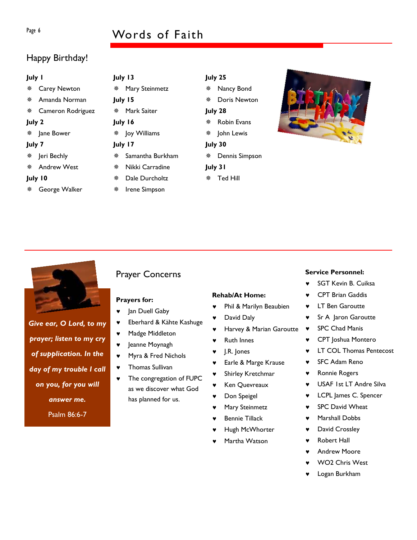## Page 6 Words of Faith

## Happy Birthday!

| <b>July I</b> |                     | July 13 |                  |         | July 25             |  |
|---------------|---------------------|---------|------------------|---------|---------------------|--|
| 豢             | <b>Carey Newton</b> | ₩       | Mary Steinmetz   | 楽       | Nancy Bond          |  |
|               | Amanda Norman       |         | July 15          | 楽       | <b>Doris Newton</b> |  |
| 豢             | Cameron Rodriguez   | 豢       | Mark Saiter      |         | July 28             |  |
| July 2        |                     | July 16 |                  | 榮       | <b>Robin Evans</b>  |  |
|               | Jane Bower          | 榮       | Joy Williams     | 楽       | John Lewis          |  |
| July 7        |                     | July 17 |                  | July 30 |                     |  |
| 榮             | Jeri Bechly         | 豢       | Samantha Burkham | 楽       | Dennis Simpson      |  |
|               | <b>Andrew West</b>  | 楽       | Nikki Carradine  |         | July 31             |  |
| July 10<br>楽  |                     |         | Dale Durcholtz   | 豢       | Ted Hill            |  |
| 豢             | George Walker       | 榮       | Irene Simpson    |         |                     |  |





## *Give ear, O Lord, to my prayer; listen to my cry of supplication. In the day of my trouble I call on you, for you will answer me.*

Psalm 86:6-7

## Prayer Concerns

## **Prayers for:**

- ♥ Jan Duell Gaby
- ♥ Eberhard & Kähte Kashuge
- ♥ Madge Middleton
- ♥ Jeanne Moynagh
- ♥ Myra & Fred Nichols
- Thomas Sullivan
- ♥ The congregation of FUPC as we discover what God has planned for us.

### **Rehab/At Home:**

- Phil & Marilyn Beaubien
- David Daly
- Harvey & Marian Garoutte
- ♥ Ruth Innes
- ♥ J.R. Jones
- ♥ Earle & Marge Krause
- Shirley Kretchmar
- Ken Quevreaux
- Don Speigel
- Mary Steinmetz
- Bennie Tillack
- Hugh McWhorter
- Martha Watson

## **Service Personnel:**

- ♥ SGT Kevin B. Cuiksa
- CPT Brian Gaddis
- ♥ LT Ben Garoutte
- ♥ Sr A Jaron Garoutte
- ♥ SPC Chad Manis
- ♥ CPT Joshua Montero
- ♥ LT COL Thomas Pentecost
- ♥ SFC Adam Reno
- ♥ Ronnie Rogers
- ♥ USAF 1st LT Andre Silva
- ♥ LCPL James C. Spencer
- ♥ SPC David Wheat
- ♥ Marshall Dobbs
- ♥ David Crossley
- ♥ Robert Hall
- Andrew Moore
- WO<sub>2</sub> Chris West
- Logan Burkham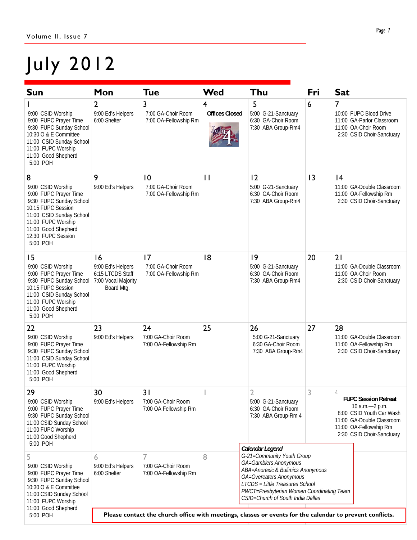## July 2012

| <b>Sun</b>                                                                                                                                                                                                                                       | Mon                                                                                                      | Tue                                               | Wed                                                                             | Thu                                                                                                                                                                                                                                                         | Fri                                                                                                                                                             | <b>Sat</b>                                                                                                                |  |  |  |
|--------------------------------------------------------------------------------------------------------------------------------------------------------------------------------------------------------------------------------------------------|----------------------------------------------------------------------------------------------------------|---------------------------------------------------|---------------------------------------------------------------------------------|-------------------------------------------------------------------------------------------------------------------------------------------------------------------------------------------------------------------------------------------------------------|-----------------------------------------------------------------------------------------------------------------------------------------------------------------|---------------------------------------------------------------------------------------------------------------------------|--|--|--|
| 9:00 CSID Worship<br>9:00 FUPC Prayer Time<br>9:30 FUPC Sunday School<br>10:30 O & E Committee<br>11:00 CSID Sunday School<br>11:00 FUPC Worship<br>11:00 Good Shepherd<br>5:00 POH                                                              | $\overline{2}$<br>9:00 Ed's Helpers<br>6:00 Shelter                                                      | 3<br>7:00 GA-Choir Room<br>7:00 OA-Fellowship Rm  | 4<br><b>Offices Closed</b>                                                      | 5<br>5:00 G-21-Sanctuary<br>6:30 GA-Choir Room<br>7:30 ABA Group-Rm4                                                                                                                                                                                        | 6                                                                                                                                                               | $\overline{7}$<br>10:00 FUPC Blood Drive<br>11:00 GA-Parlor Classroom<br>11:00 OA-Choir Room<br>2:30 CSID Choir-Sanctuary |  |  |  |
| 8<br>9:00 CSID Worship<br>9:00 FUPC Prayer Time<br>9:30 FUPC Sunday School<br>10:15 FUPC Session<br>11:00 CSID Sunday School<br>11:00 FUPC Worship<br>11:00 Good Shepherd<br>12:30 FUPC Session<br>5:00 POH                                      | 9<br>10<br>7:00 GA-Choir Room<br>9:00 Ed's Helpers<br>7:00 OA-Fellowship Rm                              |                                                   | $\mathbf{I}$                                                                    | 2<br>5:00 G-21-Sanctuary<br>6:30 GA-Choir Room<br>7:30 ABA Group-Rm4                                                                                                                                                                                        | 13                                                                                                                                                              | 4<br>11:00 GA-Double Classroom<br>11:00 OA-Fellowship Rm<br>2:30 CSID Choir-Sanctuary                                     |  |  |  |
| 15<br>9:00 CSID Worship<br>9:00 FUPC Prayer Time<br>9:30 FUPC Sunday School<br>10:15 FUPC Session<br>11:00 CSID Sunday School<br>11:00 FUPC Worship<br>11:00 Good Shepherd<br>5:00 POH                                                           | 16<br>9:00 Ed's Helpers<br>6:15 LTCDS Staff<br>7:00 Vocal Majority<br>Board Mtg.                         | 17<br>7:00 GA-Choir Room<br>7:00 OA-Fellowship Rm | 8                                                                               | 9<br>5:00 G-21-Sanctuary<br>6:30 GA-Choir Room<br>7:30 ABA Group-Rm4                                                                                                                                                                                        | 20                                                                                                                                                              | 21<br>11:00 GA-Double Classroom<br>11:00 OA-Choir Room<br>2:30 CSID Choir-Sanctuary                                       |  |  |  |
| 22<br>9:00 CSID Worship<br>9:00 FUPC Prayer Time<br>9:30 FUPC Sunday School<br>11:00 CSID Sunday School<br>11:00 FUPC Worship<br>11:00 Good Shepherd<br>5:00 POH                                                                                 | 23<br>9:00 Ed's Helpers                                                                                  | 24<br>7:00 GA-Choir Room<br>7:00 OA-Fellowship Rm | 25                                                                              | 26<br>5:00 G-21-Sanctuary<br>6:30 GA-Choir Room<br>7:30 ABA Group-Rm4                                                                                                                                                                                       | 27                                                                                                                                                              | 28<br>11:00 GA-Double Classroom<br>11:00 OA-Fellowship Rm<br>2:30 CSID Choir-Sanctuary                                    |  |  |  |
| 30<br>29<br>31<br>9:00 CSID Worship<br>9:00 Ed's Helpers<br>7:00 GA-Choir Room<br>9:00 FUPC Prayer Time<br>7:00 OA Fellowship Rm<br>9:30 FUPC Sunday School<br>11:00 CSID Sunday School<br>11:00 FUPC Worship<br>11:00 Good Shepherd<br>5:00 POH |                                                                                                          | $\mathbb{R}^n$                                    | $\sim$<br>∠<br>5:00 G-21-Sanctuary<br>6:30 GA-Choir Room<br>7:30 ABA Group-Rm 4 | 3                                                                                                                                                                                                                                                           | <b>FUPC Session Retreat</b><br>10 a.m. - 2 p.m.<br>8:00 CSID Youth Car Wash<br>11:00 GA-Double Classroom<br>11:00 OA-Fellowship Rm<br>2:30 CSID Choir-Sanctuary |                                                                                                                           |  |  |  |
| 5<br>9:00 CSID Worship<br>9:00 FUPC Prayer Time<br>9:30 FUPC Sunday School<br>10:30 O & E Committee<br>11:00 CSID Sunday School<br>11:00 FUPC Worship<br>11:00 Good Shepherd                                                                     | 6<br>9:00 Ed's Helpers<br>6:00 Shelter                                                                   | 7<br>7:00 GA-Choir Room<br>7:00 OA-Fellowship Rm  | 8                                                                               | Calendar Legend<br>G-21=Community Youth Group<br>GA=Gamblers Anonymous<br>ABA=Anorexic & Bulimics Anonymous<br>OA=Overeaters Anonymous<br>LTCDS = Little Treasures School<br>PWCT=Presbyterian Women Coordinating Team<br>CSID=Church of South India Dallas |                                                                                                                                                                 |                                                                                                                           |  |  |  |
| 5:00 POH                                                                                                                                                                                                                                         | Please contact the church office with meetings, classes or events for the calendar to prevent conflicts. |                                                   |                                                                                 |                                                                                                                                                                                                                                                             |                                                                                                                                                                 |                                                                                                                           |  |  |  |